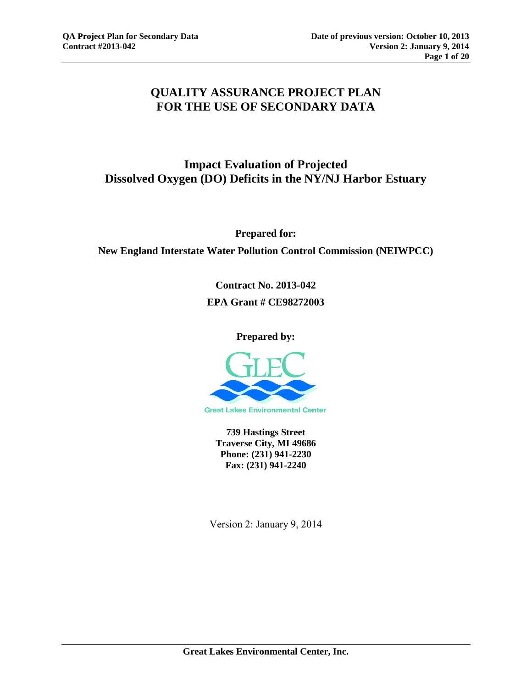# **QUALITY ASSURANCE PROJECT PLAN FOR THE USE OF SECONDARY DATA**

# **Impact Evaluation of Projected Dissolved Oxygen (DO) Deficits in the NY/NJ Harbor Estuary**

**Prepared for:** 

**New England Interstate Water Pollution Control Commission (NEIWPCC)** 

**Contract No. 2013-042 EPA Grant # CE98272003** 

**Prepared by:**



**739 Hastings Street Traverse City, MI 49686 Phone: (231) 941-2230 Fax: (231) 941-2240**

Version 2: January 9, 2014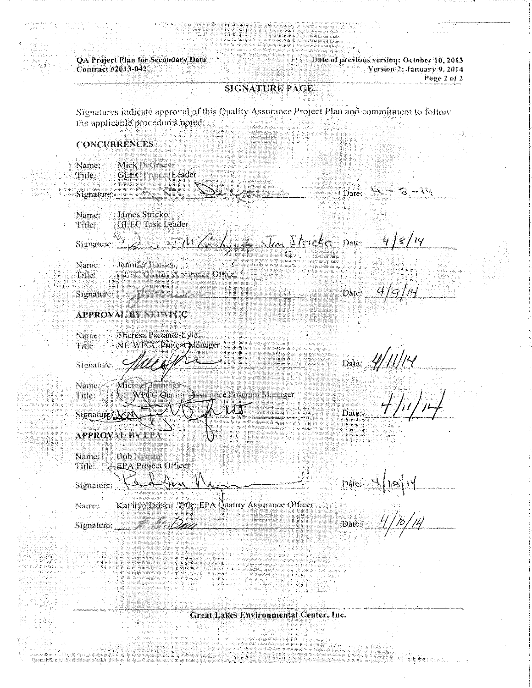QA Project Plan for Secondary Data<br>Contract #2013-042

1916 of previous version: October 10, 2013<br>
Yersion 2: January 9, 2014<br>
Page 2 of 2

# SIGNATURE PAGE

Signatures indicate approval of this Quality Assurance Project Plan and commitment to follow the applicable procedures noted

#### **CONCURRENCES**

| <u> Alexandro (</u><br>Signature:<br>James Stricko<br>Name:<br><b>GLEC Task Leader</b><br>Tule<br>Signature $\frac{1}{2}$ of $\frac{1}{\sqrt{1-\frac{1}{2}}}$ $\frac{1}{\sqrt{1-\frac{1}{2}}}$ $\frac{1}{\sqrt{1-\frac{1}{2}}}$ $\frac{1}{\sqrt{1-\frac{1}{2}}}$ $\frac{1}{\sqrt{1-\frac{1}{2}}}$ $\frac{1}{\sqrt{1-\frac{1}{2}}}$ $\frac{1}{\sqrt{1-\frac{1}{2}}}$<br>Name:<br>Jenning Hansen<br><b>CLEE Contry Assurance Officer</b><br>Title<br>Signature:<br><b>APPROVAL BY NEIWPC</b><br>Theresa Portante-Lyle<br>Name: | Date: $\Delta = 3 - 14$<br>Date: $4/9/rd$                  |
|------------------------------------------------------------------------------------------------------------------------------------------------------------------------------------------------------------------------------------------------------------------------------------------------------------------------------------------------------------------------------------------------------------------------------------------------------------------------------------------------------------------------------|------------------------------------------------------------|
|                                                                                                                                                                                                                                                                                                                                                                                                                                                                                                                              |                                                            |
|                                                                                                                                                                                                                                                                                                                                                                                                                                                                                                                              |                                                            |
|                                                                                                                                                                                                                                                                                                                                                                                                                                                                                                                              |                                                            |
|                                                                                                                                                                                                                                                                                                                                                                                                                                                                                                                              |                                                            |
|                                                                                                                                                                                                                                                                                                                                                                                                                                                                                                                              |                                                            |
|                                                                                                                                                                                                                                                                                                                                                                                                                                                                                                                              |                                                            |
| NEIWPCC Project Manager<br>Title:                                                                                                                                                                                                                                                                                                                                                                                                                                                                                            |                                                            |
| Signature;                                                                                                                                                                                                                                                                                                                                                                                                                                                                                                                   | $_{\text{Date}}$ 4/11/14                                   |
| Name:<br>Місівы<br>EIWed C Quality J surance Program Mausger<br>Title:                                                                                                                                                                                                                                                                                                                                                                                                                                                       |                                                            |
| $\cup$ $\cup$ $\top$<br>Signatur NY                                                                                                                                                                                                                                                                                                                                                                                                                                                                                          | 4/1<br>Date:                                               |
| <b>APPROVAL BY EPA</b>                                                                                                                                                                                                                                                                                                                                                                                                                                                                                                       |                                                            |
| Bob Nyman<br>Name:<br>← EPA Project Officer<br>Title:                                                                                                                                                                                                                                                                                                                                                                                                                                                                        |                                                            |
| Karlethy Me<br>Sienature                                                                                                                                                                                                                                                                                                                                                                                                                                                                                                     | Date:<br>$\mid$                                            |
| Kathryn Drisco. Title: EPA Quality Assurance Officer<br>Name:                                                                                                                                                                                                                                                                                                                                                                                                                                                                |                                                            |
| Signature State                                                                                                                                                                                                                                                                                                                                                                                                                                                                                                              | $_{\text{Date}} = \frac{1}{2} / \frac{1}{2} / \frac{1}{4}$ |
|                                                                                                                                                                                                                                                                                                                                                                                                                                                                                                                              |                                                            |
|                                                                                                                                                                                                                                                                                                                                                                                                                                                                                                                              |                                                            |

Great Lakes Environmental Center, Inc.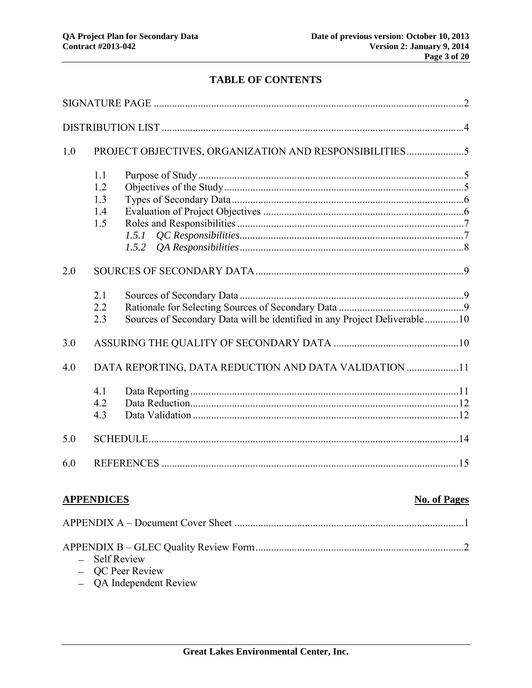# **TABLE OF CONTENTS**

| 1.0 |                                 | PROJECT OBJECTIVES, ORGANIZATION AND RESPONSIBILITIES5                    |  |
|-----|---------------------------------|---------------------------------------------------------------------------|--|
|     | 1.1<br>1.2<br>1.3<br>1.4<br>1.5 | 1.5.1                                                                     |  |
| 2.0 |                                 |                                                                           |  |
|     | 2.1<br>2.2<br>2.3               | Sources of Secondary Data will be identified in any Project Deliverable10 |  |
| 3.0 |                                 |                                                                           |  |
| 4.0 |                                 | DATA REPORTING, DATA REDUCTION AND DATA VALIDATION 11                     |  |
|     | 4.1<br>4.2<br>4.3               |                                                                           |  |
| 5.0 |                                 |                                                                           |  |
| 6.0 |                                 |                                                                           |  |
|     | <b>APPENDICES</b>               | <b>No. of Pages</b>                                                       |  |
|     |                                 |                                                                           |  |
|     | <b>Self Review</b>              | QC Peer Review<br>QA Independent Review                                   |  |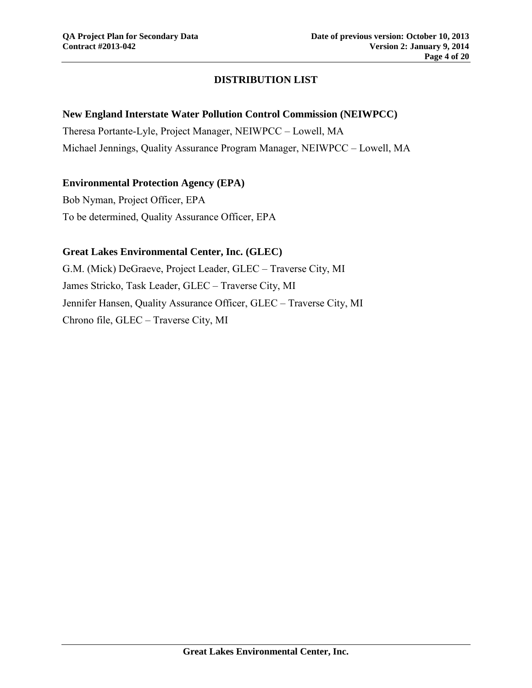# **DISTRIBUTION LIST**

#### **New England Interstate Water Pollution Control Commission (NEIWPCC)**

Theresa Portante-Lyle, Project Manager, NEIWPCC – Lowell, MA Michael Jennings, Quality Assurance Program Manager, NEIWPCC – Lowell, MA

### **Environmental Protection Agency (EPA)**

Bob Nyman, Project Officer, EPA To be determined, Quality Assurance Officer, EPA

#### **Great Lakes Environmental Center, Inc. (GLEC)**

G.M. (Mick) DeGraeve, Project Leader, GLEC – Traverse City, MI James Stricko, Task Leader, GLEC – Traverse City, MI Jennifer Hansen, Quality Assurance Officer, GLEC – Traverse City, MI Chrono file, GLEC – Traverse City, MI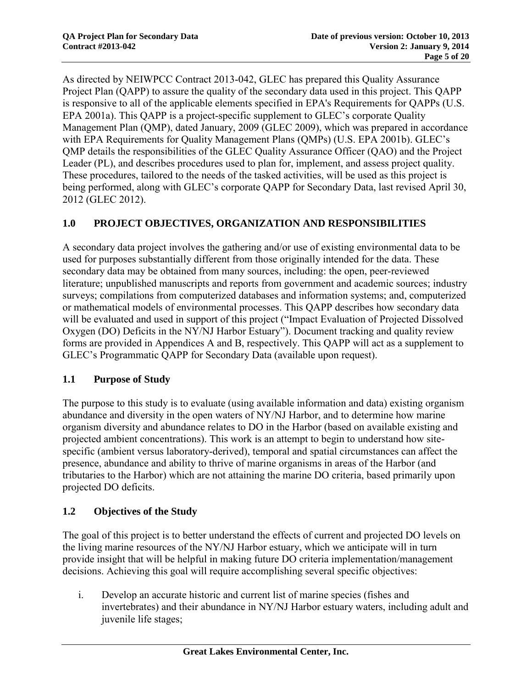As directed by NEIWPCC Contract 2013-042, GLEC has prepared this Quality Assurance Project Plan (QAPP) to assure the quality of the secondary data used in this project. This QAPP is responsive to all of the applicable elements specified in EPA's Requirements for QAPPs (U.S. EPA 2001a). This QAPP is a project-specific supplement to GLEC's corporate Quality Management Plan (QMP), dated January, 2009 (GLEC 2009), which was prepared in accordance with EPA Requirements for Quality Management Plans (QMPs) (U.S. EPA 2001b). GLEC's QMP details the responsibilities of the GLEC Quality Assurance Officer (QAO) and the Project Leader (PL), and describes procedures used to plan for, implement, and assess project quality. These procedures, tailored to the needs of the tasked activities, will be used as this project is being performed, along with GLEC's corporate QAPP for Secondary Data, last revised April 30, 2012 (GLEC 2012).

## **1.0 PROJECT OBJECTIVES, ORGANIZATION AND RESPONSIBILITIES**

A secondary data project involves the gathering and/or use of existing environmental data to be used for purposes substantially different from those originally intended for the data. These secondary data may be obtained from many sources, including: the open, peer-reviewed literature; unpublished manuscripts and reports from government and academic sources; industry surveys; compilations from computerized databases and information systems; and, computerized or mathematical models of environmental processes. This QAPP describes how secondary data will be evaluated and used in support of this project ("Impact Evaluation of Projected Dissolved Oxygen (DO) Deficits in the NY/NJ Harbor Estuary"). Document tracking and quality review forms are provided in Appendices A and B, respectively. This QAPP will act as a supplement to GLEC's Programmatic QAPP for Secondary Data (available upon request).

### **1.1 Purpose of Study**

The purpose to this study is to evaluate (using available information and data) existing organism abundance and diversity in the open waters of NY/NJ Harbor, and to determine how marine organism diversity and abundance relates to DO in the Harbor (based on available existing and projected ambient concentrations). This work is an attempt to begin to understand how sitespecific (ambient versus laboratory-derived), temporal and spatial circumstances can affect the presence, abundance and ability to thrive of marine organisms in areas of the Harbor (and tributaries to the Harbor) which are not attaining the marine DO criteria, based primarily upon projected DO deficits.

### **1.2 Objectives of the Study**

The goal of this project is to better understand the effects of current and projected DO levels on the living marine resources of the NY/NJ Harbor estuary, which we anticipate will in turn provide insight that will be helpful in making future DO criteria implementation/management decisions. Achieving this goal will require accomplishing several specific objectives:

i. Develop an accurate historic and current list of marine species (fishes and invertebrates) and their abundance in NY/NJ Harbor estuary waters, including adult and juvenile life stages;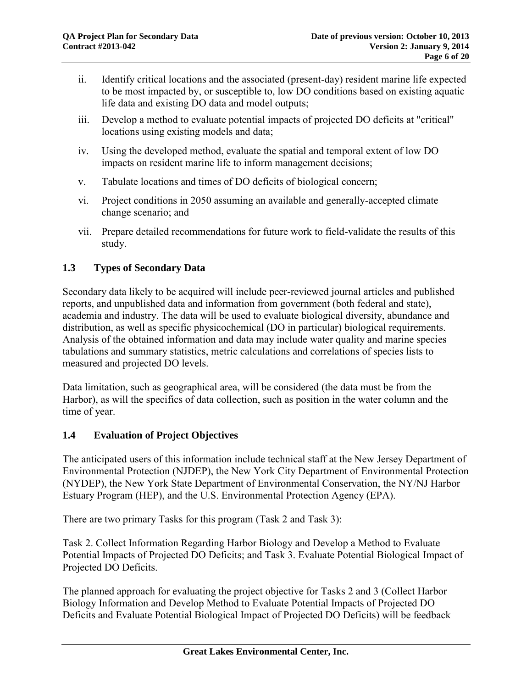- ii. Identify critical locations and the associated (present-day) resident marine life expected to be most impacted by, or susceptible to, low DO conditions based on existing aquatic life data and existing DO data and model outputs;
- iii. Develop a method to evaluate potential impacts of projected DO deficits at "critical" locations using existing models and data;
- iv. Using the developed method, evaluate the spatial and temporal extent of low DO impacts on resident marine life to inform management decisions;
- v. Tabulate locations and times of DO deficits of biological concern;
- vi. Project conditions in 2050 assuming an available and generally-accepted climate change scenario; and
- vii. Prepare detailed recommendations for future work to field-validate the results of this study.

## **1.3 Types of Secondary Data**

Secondary data likely to be acquired will include peer-reviewed journal articles and published reports, and unpublished data and information from government (both federal and state), academia and industry. The data will be used to evaluate biological diversity, abundance and distribution, as well as specific physicochemical (DO in particular) biological requirements. Analysis of the obtained information and data may include water quality and marine species tabulations and summary statistics, metric calculations and correlations of species lists to measured and projected DO levels.

Data limitation, such as geographical area, will be considered (the data must be from the Harbor), as will the specifics of data collection, such as position in the water column and the time of year.

### **1.4 Evaluation of Project Objectives**

The anticipated users of this information include technical staff at the New Jersey Department of Environmental Protection (NJDEP), the New York City Department of Environmental Protection (NYDEP), the New York State Department of Environmental Conservation, the NY/NJ Harbor Estuary Program (HEP), and the U.S. Environmental Protection Agency (EPA).

There are two primary Tasks for this program (Task 2 and Task 3):

Task 2. Collect Information Regarding Harbor Biology and Develop a Method to Evaluate Potential Impacts of Projected DO Deficits; and Task 3. Evaluate Potential Biological Impact of Projected DO Deficits.

The planned approach for evaluating the project objective for Tasks 2 and 3 (Collect Harbor Biology Information and Develop Method to Evaluate Potential Impacts of Projected DO Deficits and Evaluate Potential Biological Impact of Projected DO Deficits) will be feedback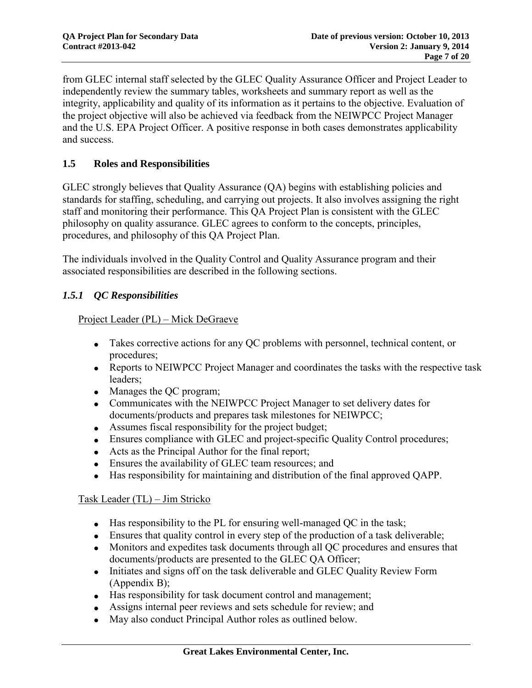from GLEC internal staff selected by the GLEC Quality Assurance Officer and Project Leader to independently review the summary tables, worksheets and summary report as well as the integrity, applicability and quality of its information as it pertains to the objective. Evaluation of the project objective will also be achieved via feedback from the NEIWPCC Project Manager and the U.S. EPA Project Officer. A positive response in both cases demonstrates applicability and success.

# **1.5 Roles and Responsibilities**

GLEC strongly believes that Quality Assurance (QA) begins with establishing policies and standards for staffing, scheduling, and carrying out projects. It also involves assigning the right staff and monitoring their performance. This QA Project Plan is consistent with the GLEC philosophy on quality assurance. GLEC agrees to conform to the concepts, principles, procedures, and philosophy of this QA Project Plan.

The individuals involved in the Quality Control and Quality Assurance program and their associated responsibilities are described in the following sections.

## *1.5.1 QC Responsibilities*

### Project Leader (PL) – Mick DeGraeve

- Takes corrective actions for any QC problems with personnel, technical content, or procedures;
- Reports to NEIWPCC Project Manager and coordinates the tasks with the respective task leaders;
- Manages the QC program;
- Communicates with the NEIWPCC Project Manager to set delivery dates for documents/products and prepares task milestones for NEIWPCC;
- Assumes fiscal responsibility for the project budget;
- Ensures compliance with GLEC and project-specific Quality Control procedures;
- Acts as the Principal Author for the final report;
- Ensures the availability of GLEC team resources; and
- Has responsibility for maintaining and distribution of the final approved QAPP.

### Task Leader (TL) – Jim Stricko

- $\bullet$  Has responsibility to the PL for ensuring well-managed QC in the task;
- Ensures that quality control in every step of the production of a task deliverable;
- Monitors and expedites task documents through all QC procedures and ensures that documents/products are presented to the GLEC QA Officer;
- Initiates and signs off on the task deliverable and GLEC Quality Review Form (Appendix B);
- Has responsibility for task document control and management;
- Assigns internal peer reviews and sets schedule for review; and
- May also conduct Principal Author roles as outlined below.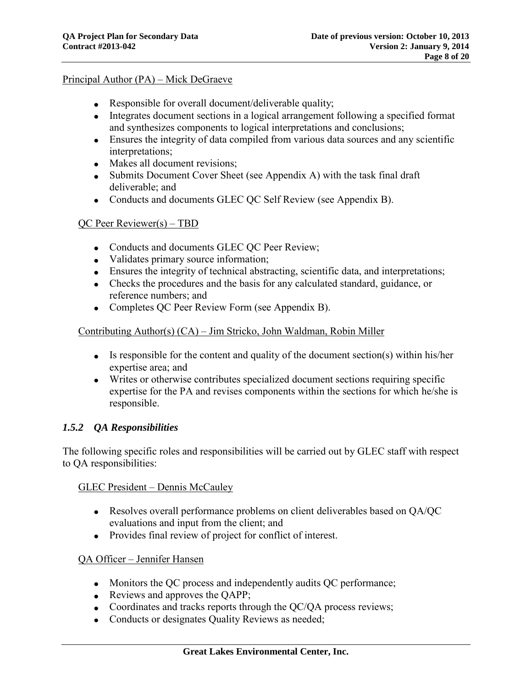#### Principal Author (PA) – Mick DeGraeve

- Responsible for overall document/deliverable quality;
- Integrates document sections in a logical arrangement following a specified format and synthesizes components to logical interpretations and conclusions;
- Ensures the integrity of data compiled from various data sources and any scientific interpretations;
- Makes all document revisions;
- Submits Document Cover Sheet (see Appendix A) with the task final draft deliverable; and
- Conducts and documents GLEC QC Self Review (see Appendix B).

#### QC Peer Reviewer(s) – TBD

- Conducts and documents GLEC QC Peer Review;
- Validates primary source information;
- Ensures the integrity of technical abstracting, scientific data, and interpretations;
- Checks the procedures and the basis for any calculated standard, guidance, or reference numbers; and
- Completes QC Peer Review Form (see Appendix B).

#### Contributing Author(s) (CA) – Jim Stricko, John Waldman, Robin Miller

- $\bullet$  Is responsible for the content and quality of the document section(s) within his/her expertise area; and
- Writes or otherwise contributes specialized document sections requiring specific expertise for the PA and revises components within the sections for which he/she is responsible.

### *1.5.2 QA Responsibilities*

The following specific roles and responsibilities will be carried out by GLEC staff with respect to QA responsibilities:

#### GLEC President – Dennis McCauley

- Resolves overall performance problems on client deliverables based on QA/QC evaluations and input from the client; and
- Provides final review of project for conflict of interest.

### QA Officer – Jennifer Hansen

- Monitors the QC process and independently audits QC performance;
- Reviews and approves the QAPP;
- Coordinates and tracks reports through the QC/QA process reviews;
- Conducts or designates Quality Reviews as needed;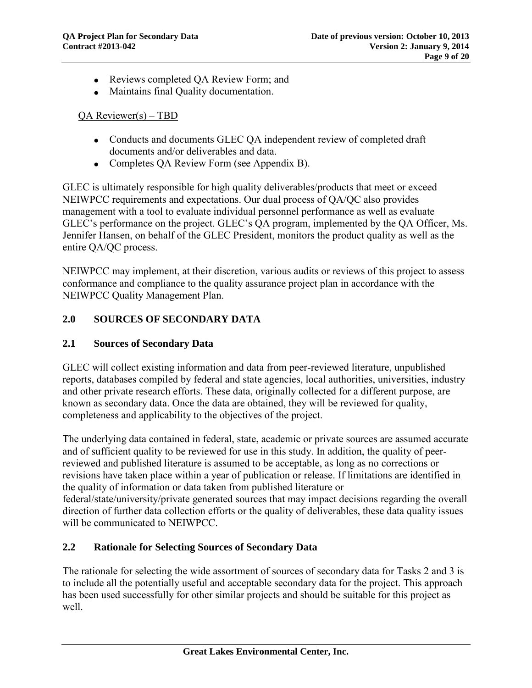- Reviews completed QA Review Form; and
- Maintains final Quality documentation.

### QA Reviewer(s) – TBD

- Conducts and documents GLEC QA independent review of completed draft documents and/or deliverables and data.
- Completes QA Review Form (see Appendix B).

GLEC is ultimately responsible for high quality deliverables/products that meet or exceed NEIWPCC requirements and expectations. Our dual process of QA/QC also provides management with a tool to evaluate individual personnel performance as well as evaluate GLEC's performance on the project. GLEC's QA program, implemented by the QA Officer, Ms. Jennifer Hansen, on behalf of the GLEC President, monitors the product quality as well as the entire QA/QC process.

NEIWPCC may implement, at their discretion, various audits or reviews of this project to assess conformance and compliance to the quality assurance project plan in accordance with the NEIWPCC Quality Management Plan.

## **2.0 SOURCES OF SECONDARY DATA**

## **2.1 Sources of Secondary Data**

GLEC will collect existing information and data from peer-reviewed literature, unpublished reports, databases compiled by federal and state agencies, local authorities, universities, industry and other private research efforts. These data, originally collected for a different purpose, are known as secondary data. Once the data are obtained, they will be reviewed for quality, completeness and applicability to the objectives of the project.

The underlying data contained in federal, state, academic or private sources are assumed accurate and of sufficient quality to be reviewed for use in this study. In addition, the quality of peerreviewed and published literature is assumed to be acceptable, as long as no corrections or revisions have taken place within a year of publication or release. If limitations are identified in the quality of information or data taken from published literature or federal/state/university/private generated sources that may impact decisions regarding the overall direction of further data collection efforts or the quality of deliverables, these data quality issues will be communicated to NEIWPCC.

### **2.2 Rationale for Selecting Sources of Secondary Data**

The rationale for selecting the wide assortment of sources of secondary data for Tasks 2 and 3 is to include all the potentially useful and acceptable secondary data for the project. This approach has been used successfully for other similar projects and should be suitable for this project as well.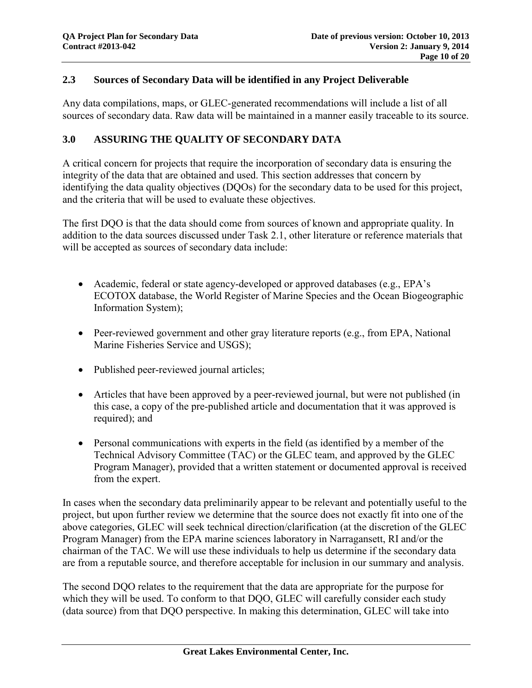#### **2.3 Sources of Secondary Data will be identified in any Project Deliverable**

Any data compilations, maps, or GLEC-generated recommendations will include a list of all sources of secondary data. Raw data will be maintained in a manner easily traceable to its source.

#### **3.0 ASSURING THE QUALITY OF SECONDARY DATA**

A critical concern for projects that require the incorporation of secondary data is ensuring the integrity of the data that are obtained and used. This section addresses that concern by identifying the data quality objectives (DOOs) for the secondary data to be used for this project, and the criteria that will be used to evaluate these objectives.

The first DQO is that the data should come from sources of known and appropriate quality. In addition to the data sources discussed under Task 2.1, other literature or reference materials that will be accepted as sources of secondary data include:

- Academic, federal or state agency-developed or approved databases (e.g., EPA's ECOTOX database, the World Register of Marine Species and the Ocean Biogeographic Information System);
- Peer-reviewed government and other gray literature reports (e.g., from EPA, National Marine Fisheries Service and USGS);
- Published peer-reviewed journal articles;
- Articles that have been approved by a peer-reviewed journal, but were not published (in this case, a copy of the pre-published article and documentation that it was approved is required); and
- Personal communications with experts in the field (as identified by a member of the Technical Advisory Committee (TAC) or the GLEC team, and approved by the GLEC Program Manager), provided that a written statement or documented approval is received from the expert.

In cases when the secondary data preliminarily appear to be relevant and potentially useful to the project, but upon further review we determine that the source does not exactly fit into one of the above categories, GLEC will seek technical direction/clarification (at the discretion of the GLEC Program Manager) from the EPA marine sciences laboratory in Narragansett, RI and/or the chairman of the TAC. We will use these individuals to help us determine if the secondary data are from a reputable source, and therefore acceptable for inclusion in our summary and analysis.

The second DQO relates to the requirement that the data are appropriate for the purpose for which they will be used. To conform to that DOO, GLEC will carefully consider each study (data source) from that DQO perspective. In making this determination, GLEC will take into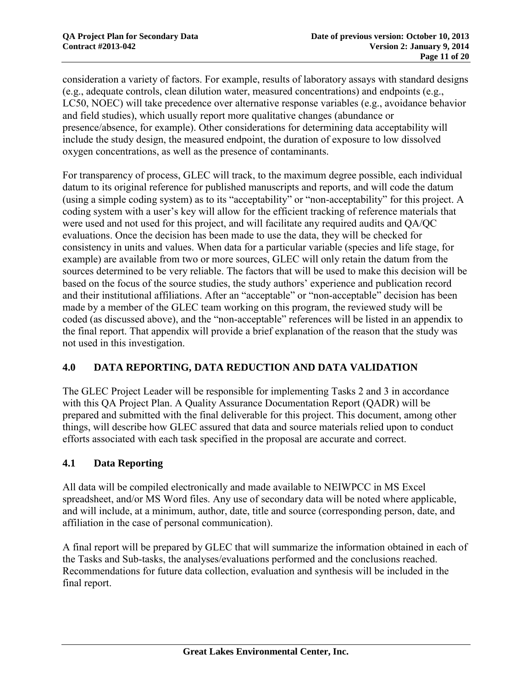consideration a variety of factors. For example, results of laboratory assays with standard designs (e.g., adequate controls, clean dilution water, measured concentrations) and endpoints (e.g., LC50, NOEC) will take precedence over alternative response variables (e.g., avoidance behavior and field studies), which usually report more qualitative changes (abundance or presence/absence, for example). Other considerations for determining data acceptability will include the study design, the measured endpoint, the duration of exposure to low dissolved oxygen concentrations, as well as the presence of contaminants.

For transparency of process, GLEC will track, to the maximum degree possible, each individual datum to its original reference for published manuscripts and reports, and will code the datum (using a simple coding system) as to its "acceptability" or "non-acceptability" for this project. A coding system with a user's key will allow for the efficient tracking of reference materials that were used and not used for this project, and will facilitate any required audits and QA/QC evaluations. Once the decision has been made to use the data, they will be checked for consistency in units and values. When data for a particular variable (species and life stage, for example) are available from two or more sources, GLEC will only retain the datum from the sources determined to be very reliable. The factors that will be used to make this decision will be based on the focus of the source studies, the study authors' experience and publication record and their institutional affiliations. After an "acceptable" or "non-acceptable" decision has been made by a member of the GLEC team working on this program, the reviewed study will be coded (as discussed above), and the "non-acceptable" references will be listed in an appendix to the final report. That appendix will provide a brief explanation of the reason that the study was not used in this investigation.

# **4.0 DATA REPORTING, DATA REDUCTION AND DATA VALIDATION**

The GLEC Project Leader will be responsible for implementing Tasks 2 and 3 in accordance with this QA Project Plan. A Quality Assurance Documentation Report (QADR) will be prepared and submitted with the final deliverable for this project. This document, among other things, will describe how GLEC assured that data and source materials relied upon to conduct efforts associated with each task specified in the proposal are accurate and correct.

### **4.1 Data Reporting**

All data will be compiled electronically and made available to NEIWPCC in MS Excel spreadsheet, and/or MS Word files. Any use of secondary data will be noted where applicable, and will include, at a minimum, author, date, title and source (corresponding person, date, and affiliation in the case of personal communication).

A final report will be prepared by GLEC that will summarize the information obtained in each of the Tasks and Sub-tasks, the analyses/evaluations performed and the conclusions reached. Recommendations for future data collection, evaluation and synthesis will be included in the final report.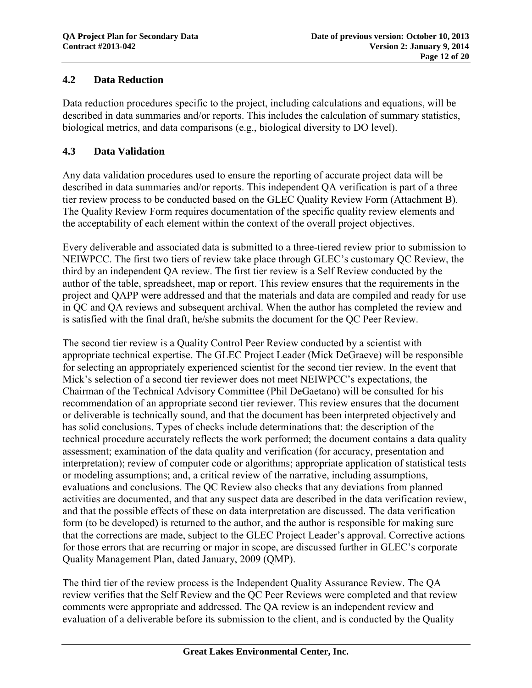## **4.2 Data Reduction**

Data reduction procedures specific to the project, including calculations and equations, will be described in data summaries and/or reports. This includes the calculation of summary statistics, biological metrics, and data comparisons (e.g., biological diversity to DO level).

## **4.3 Data Validation**

Any data validation procedures used to ensure the reporting of accurate project data will be described in data summaries and/or reports. This independent QA verification is part of a three tier review process to be conducted based on the GLEC Quality Review Form (Attachment B). The Quality Review Form requires documentation of the specific quality review elements and the acceptability of each element within the context of the overall project objectives.

Every deliverable and associated data is submitted to a three-tiered review prior to submission to NEIWPCC. The first two tiers of review take place through GLEC's customary QC Review, the third by an independent QA review. The first tier review is a Self Review conducted by the author of the table, spreadsheet, map or report. This review ensures that the requirements in the project and QAPP were addressed and that the materials and data are compiled and ready for use in QC and QA reviews and subsequent archival. When the author has completed the review and is satisfied with the final draft, he/she submits the document for the QC Peer Review.

The second tier review is a Quality Control Peer Review conducted by a scientist with appropriate technical expertise. The GLEC Project Leader (Mick DeGraeve) will be responsible for selecting an appropriately experienced scientist for the second tier review. In the event that Mick's selection of a second tier reviewer does not meet NEIWPCC's expectations, the Chairman of the Technical Advisory Committee (Phil DeGaetano) will be consulted for his recommendation of an appropriate second tier reviewer. This review ensures that the document or deliverable is technically sound, and that the document has been interpreted objectively and has solid conclusions. Types of checks include determinations that: the description of the technical procedure accurately reflects the work performed; the document contains a data quality assessment; examination of the data quality and verification (for accuracy, presentation and interpretation); review of computer code or algorithms; appropriate application of statistical tests or modeling assumptions; and, a critical review of the narrative, including assumptions, evaluations and conclusions. The QC Review also checks that any deviations from planned activities are documented, and that any suspect data are described in the data verification review, and that the possible effects of these on data interpretation are discussed. The data verification form (to be developed) is returned to the author, and the author is responsible for making sure that the corrections are made, subject to the GLEC Project Leader's approval. Corrective actions for those errors that are recurring or major in scope, are discussed further in GLEC's corporate Quality Management Plan, dated January, 2009 (QMP).

The third tier of the review process is the Independent Quality Assurance Review. The QA review verifies that the Self Review and the QC Peer Reviews were completed and that review comments were appropriate and addressed. The QA review is an independent review and evaluation of a deliverable before its submission to the client, and is conducted by the Quality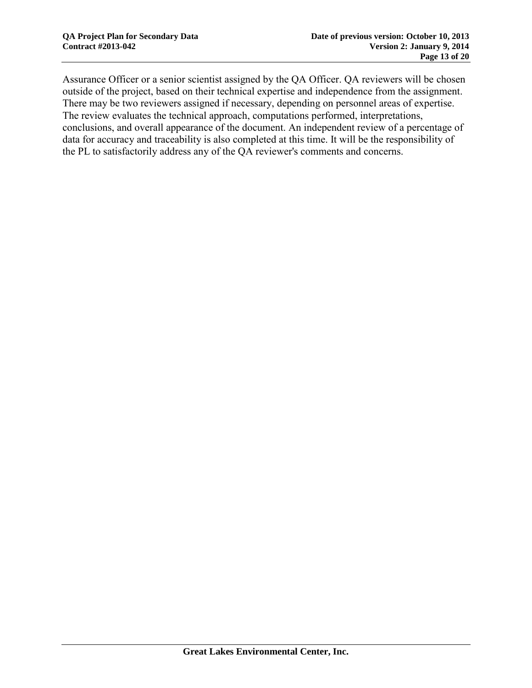Assurance Officer or a senior scientist assigned by the QA Officer. QA reviewers will be chosen outside of the project, based on their technical expertise and independence from the assignment. There may be two reviewers assigned if necessary, depending on personnel areas of expertise. The review evaluates the technical approach, computations performed, interpretations, conclusions, and overall appearance of the document. An independent review of a percentage of data for accuracy and traceability is also completed at this time. It will be the responsibility of the PL to satisfactorily address any of the QA reviewer's comments and concerns.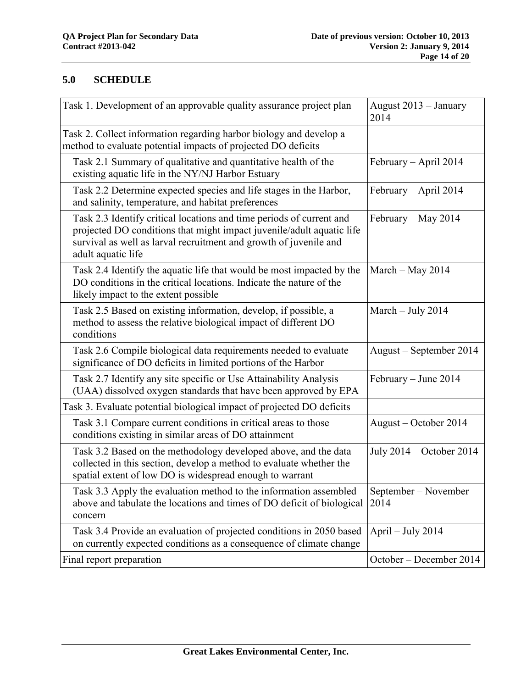# **5.0 SCHEDULE**

| Task 1. Development of an approvable quality assurance project plan                                                                                                                                                                      | August 2013 - January<br>2014 |
|------------------------------------------------------------------------------------------------------------------------------------------------------------------------------------------------------------------------------------------|-------------------------------|
| Task 2. Collect information regarding harbor biology and develop a<br>method to evaluate potential impacts of projected DO deficits                                                                                                      |                               |
| Task 2.1 Summary of qualitative and quantitative health of the<br>existing aquatic life in the NY/NJ Harbor Estuary                                                                                                                      | February - April 2014         |
| Task 2.2 Determine expected species and life stages in the Harbor,<br>and salinity, temperature, and habitat preferences                                                                                                                 | February - April 2014         |
| Task 2.3 Identify critical locations and time periods of current and<br>projected DO conditions that might impact juvenile/adult aquatic life<br>survival as well as larval recruitment and growth of juvenile and<br>adult aquatic life | February – May 2014           |
| Task 2.4 Identify the aquatic life that would be most impacted by the<br>DO conditions in the critical locations. Indicate the nature of the<br>likely impact to the extent possible                                                     | March $-$ May 2014            |
| Task 2.5 Based on existing information, develop, if possible, a<br>method to assess the relative biological impact of different DO<br>conditions                                                                                         | March $-$ July 2014           |
| Task 2.6 Compile biological data requirements needed to evaluate<br>significance of DO deficits in limited portions of the Harbor                                                                                                        | August – September 2014       |
| Task 2.7 Identify any site specific or Use Attainability Analysis<br>(UAA) dissolved oxygen standards that have been approved by EPA                                                                                                     | February – June 2014          |
| Task 3. Evaluate potential biological impact of projected DO deficits                                                                                                                                                                    |                               |
| Task 3.1 Compare current conditions in critical areas to those<br>conditions existing in similar areas of DO attainment                                                                                                                  | August – October 2014         |
| Task 3.2 Based on the methodology developed above, and the data<br>collected in this section, develop a method to evaluate whether the<br>spatial extent of low DO is widespread enough to warrant                                       | July 2014 – October 2014      |
| Task 3.3 Apply the evaluation method to the information assembled<br>above and tabulate the locations and times of DO deficit of biological<br>concern                                                                                   | September – November<br>2014  |
| Task 3.4 Provide an evaluation of projected conditions in 2050 based<br>on currently expected conditions as a consequence of climate change                                                                                              | April $-$ July 2014           |
| Final report preparation                                                                                                                                                                                                                 | October – December 2014       |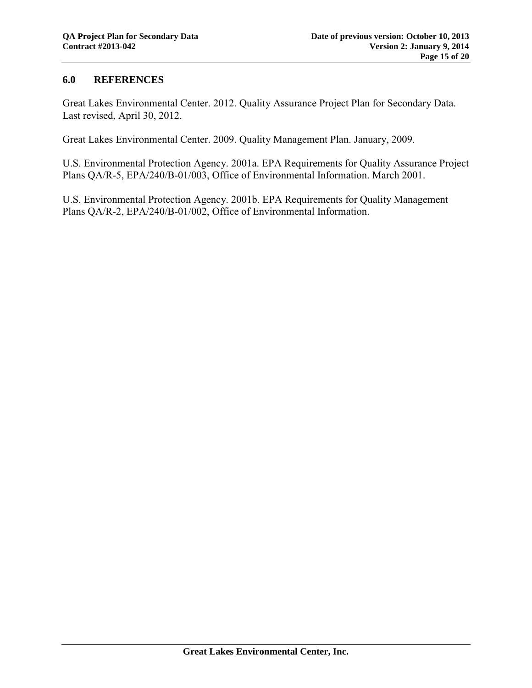#### **6.0 REFERENCES**

Great Lakes Environmental Center. 2012. Quality Assurance Project Plan for Secondary Data. Last revised, April 30, 2012.

Great Lakes Environmental Center. 2009. Quality Management Plan. January, 2009.

U.S. Environmental Protection Agency. 2001a. EPA Requirements for Quality Assurance Project Plans QA/R-5, EPA/240/B-01/003, Office of Environmental Information. March 2001.

U.S. Environmental Protection Agency. 2001b. EPA Requirements for Quality Management Plans QA/R-2, EPA/240/B-01/002, Office of Environmental Information.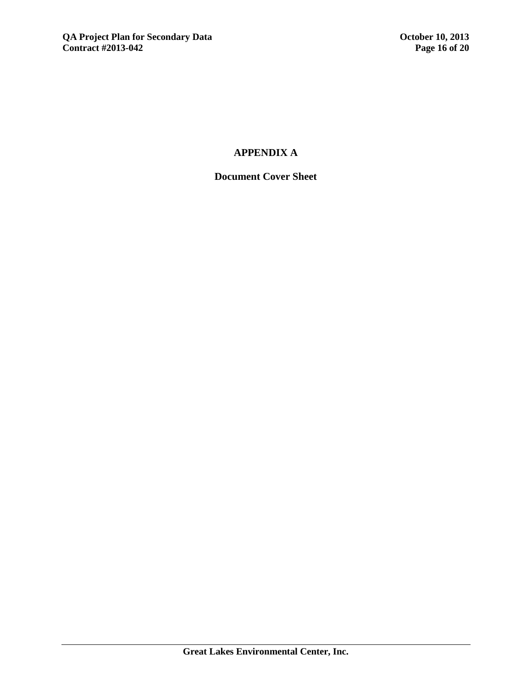# **APPENDIX A**

# **Document Cover Sheet**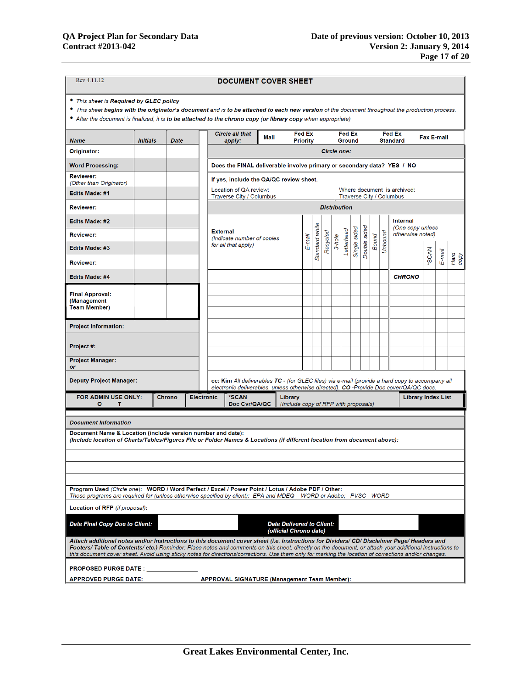| Rev 4.11.12<br><b>DOCUMENT COVER SHEET</b>                                                                                                                                                                                                                                                                                                                                                                                                                     |                                         |             |                                                                                                                                                    |                    |                                                                                                                                                                                           |  |                                                            |        |                |                     |        |            |              |                   |              |         |                                                         |                           |        |              |
|----------------------------------------------------------------------------------------------------------------------------------------------------------------------------------------------------------------------------------------------------------------------------------------------------------------------------------------------------------------------------------------------------------------------------------------------------------------|-----------------------------------------|-------------|----------------------------------------------------------------------------------------------------------------------------------------------------|--------------------|-------------------------------------------------------------------------------------------------------------------------------------------------------------------------------------------|--|------------------------------------------------------------|--------|----------------|---------------------|--------|------------|--------------|-------------------|--------------|---------|---------------------------------------------------------|---------------------------|--------|--------------|
| • This sheet is Required by GLEC policy                                                                                                                                                                                                                                                                                                                                                                                                                        |                                         |             |                                                                                                                                                    |                    |                                                                                                                                                                                           |  |                                                            |        |                |                     |        |            |              |                   |              |         |                                                         |                           |        |              |
| • This sheet begins with the originator's document and is to be attached to each new version of the document throughout the production process.<br>• After the document is finalized, it is to be attached to the chrono copy (or library copy when appropriate)                                                                                                                                                                                               |                                         |             |                                                                                                                                                    |                    |                                                                                                                                                                                           |  |                                                            |        |                |                     |        |            |              |                   |              |         |                                                         |                           |        |              |
| <b>Name</b>                                                                                                                                                                                                                                                                                                                                                                                                                                                    | <b>Initials</b>                         | <b>Date</b> | <b>Circle all that</b><br><b>Fed Ex</b><br><b>Fed Ex</b><br><b>Fed Ex</b><br>Mail<br><b>Priority</b><br><b>Ground</b><br><b>Standard</b><br>apply: |                    |                                                                                                                                                                                           |  |                                                            |        |                |                     |        |            |              | <b>Fax E-mail</b> |              |         |                                                         |                           |        |              |
| Originator:                                                                                                                                                                                                                                                                                                                                                                                                                                                    |                                         |             |                                                                                                                                                    | <b>Circle one:</b> |                                                                                                                                                                                           |  |                                                            |        |                |                     |        |            |              |                   |              |         |                                                         |                           |        |              |
| <b>Word Processing:</b>                                                                                                                                                                                                                                                                                                                                                                                                                                        |                                         |             |                                                                                                                                                    |                    | Does the FINAL deliverable involve primary or secondary data? YES / NO                                                                                                                    |  |                                                            |        |                |                     |        |            |              |                   |              |         |                                                         |                           |        |              |
| <b>Reviewer:</b><br>(Other than Originator)                                                                                                                                                                                                                                                                                                                                                                                                                    | If yes, include the QA/QC review sheet. |             |                                                                                                                                                    |                    |                                                                                                                                                                                           |  |                                                            |        |                |                     |        |            |              |                   |              |         |                                                         |                           |        |              |
| <b>Edits Made: #1</b>                                                                                                                                                                                                                                                                                                                                                                                                                                          |                                         |             |                                                                                                                                                    |                    | Location of QA review:<br>Traverse City / Columbus                                                                                                                                        |  |                                                            |        |                |                     |        |            |              |                   |              |         | Where document is archived:<br>Traverse City / Columbus |                           |        |              |
| <b>Reviewer:</b>                                                                                                                                                                                                                                                                                                                                                                                                                                               |                                         |             |                                                                                                                                                    |                    |                                                                                                                                                                                           |  |                                                            |        |                | <b>Distribution</b> |        |            |              |                   |              |         |                                                         |                           |        |              |
| Edits Made: #2                                                                                                                                                                                                                                                                                                                                                                                                                                                 |                                         |             |                                                                                                                                                    |                    |                                                                                                                                                                                           |  |                                                            |        |                |                     |        |            |              |                   |              |         | Internal                                                |                           |        |              |
| <b>Reviewer:</b>                                                                                                                                                                                                                                                                                                                                                                                                                                               |                                         |             |                                                                                                                                                    |                    | <b>External</b><br>(Indicate number of copies                                                                                                                                             |  |                                                            |        |                |                     |        |            |              |                   |              |         | (One copy unless<br>otherwise noted)                    |                           |        |              |
| Edits Made: #3                                                                                                                                                                                                                                                                                                                                                                                                                                                 |                                         |             |                                                                                                                                                    |                    | for all that apply)                                                                                                                                                                       |  |                                                            | E-mail | Standard white | Recycled            | 3-hole | Letterhead | Single sided | Double sided      | <b>Bound</b> | Unbound |                                                         | <b>SCAN</b>               |        |              |
| <b>Reviewer:</b>                                                                                                                                                                                                                                                                                                                                                                                                                                               |                                         |             |                                                                                                                                                    |                    |                                                                                                                                                                                           |  |                                                            |        |                |                     |        |            |              |                   |              |         |                                                         |                           | E-mail | Hard<br>copy |
| Edits Made: #4                                                                                                                                                                                                                                                                                                                                                                                                                                                 |                                         |             |                                                                                                                                                    |                    |                                                                                                                                                                                           |  |                                                            |        |                |                     |        |            |              |                   |              |         | <b>CHRONO</b>                                           |                           |        |              |
| <b>Final Approval:</b>                                                                                                                                                                                                                                                                                                                                                                                                                                         |                                         |             |                                                                                                                                                    |                    |                                                                                                                                                                                           |  |                                                            |        |                |                     |        |            |              |                   |              |         |                                                         |                           |        |              |
| (Management<br><b>Team Member)</b>                                                                                                                                                                                                                                                                                                                                                                                                                             |                                         |             |                                                                                                                                                    |                    |                                                                                                                                                                                           |  |                                                            |        |                |                     |        |            |              |                   |              |         |                                                         |                           |        |              |
| <b>Project Information:</b>                                                                                                                                                                                                                                                                                                                                                                                                                                    |                                         |             |                                                                                                                                                    |                    |                                                                                                                                                                                           |  |                                                            |        |                |                     |        |            |              |                   |              |         |                                                         |                           |        |              |
|                                                                                                                                                                                                                                                                                                                                                                                                                                                                |                                         |             |                                                                                                                                                    |                    |                                                                                                                                                                                           |  |                                                            |        |                |                     |        |            |              |                   |              |         |                                                         |                           |        |              |
| Project #:                                                                                                                                                                                                                                                                                                                                                                                                                                                     |                                         |             |                                                                                                                                                    |                    |                                                                                                                                                                                           |  |                                                            |        |                |                     |        |            |              |                   |              |         |                                                         |                           |        |              |
| <b>Project Manager:</b><br>or                                                                                                                                                                                                                                                                                                                                                                                                                                  |                                         |             |                                                                                                                                                    |                    |                                                                                                                                                                                           |  |                                                            |        |                |                     |        |            |              |                   |              |         |                                                         |                           |        |              |
| <b>Deputy Project Manager:</b>                                                                                                                                                                                                                                                                                                                                                                                                                                 |                                         |             |                                                                                                                                                    |                    | cc: Kim All deliverables TC - (for GLEC files) via e-mail (provide a hard copy to accompany all<br>electronic deliverables, unless otherwise directed). CO -Provide Doc cover/QA/QC docs. |  |                                                            |        |                |                     |        |            |              |                   |              |         |                                                         |                           |        |              |
| FOR ADMIN USE ONLY:<br>о<br>т                                                                                                                                                                                                                                                                                                                                                                                                                                  |                                         | Chrono      | <b>Electronic</b>                                                                                                                                  |                    | *SCAN<br>Doc Cvr/QA/QC                                                                                                                                                                    |  | Library<br>(Include copy of RFP with proposals)            |        |                |                     |        |            |              |                   |              |         |                                                         | <b>Library Index List</b> |        |              |
|                                                                                                                                                                                                                                                                                                                                                                                                                                                                |                                         |             |                                                                                                                                                    |                    |                                                                                                                                                                                           |  |                                                            |        |                |                     |        |            |              |                   |              |         |                                                         |                           |        |              |
| <b>Document Information</b>                                                                                                                                                                                                                                                                                                                                                                                                                                    |                                         |             |                                                                                                                                                    |                    |                                                                                                                                                                                           |  |                                                            |        |                |                     |        |            |              |                   |              |         |                                                         |                           |        |              |
| Document Name & Location (include version number and date):<br>(Include location of Charts/Tables/Figures File or Folder Names & Locations (if different location from document above):                                                                                                                                                                                                                                                                        |                                         |             |                                                                                                                                                    |                    |                                                                                                                                                                                           |  |                                                            |        |                |                     |        |            |              |                   |              |         |                                                         |                           |        |              |
|                                                                                                                                                                                                                                                                                                                                                                                                                                                                |                                         |             |                                                                                                                                                    |                    |                                                                                                                                                                                           |  |                                                            |        |                |                     |        |            |              |                   |              |         |                                                         |                           |        |              |
|                                                                                                                                                                                                                                                                                                                                                                                                                                                                |                                         |             |                                                                                                                                                    |                    |                                                                                                                                                                                           |  |                                                            |        |                |                     |        |            |              |                   |              |         |                                                         |                           |        |              |
| Program Used (Circle one): WORD / Word Perfect / Excel / Power Point / Lotus / Adobe PDF / Other:                                                                                                                                                                                                                                                                                                                                                              |                                         |             |                                                                                                                                                    |                    |                                                                                                                                                                                           |  |                                                            |        |                |                     |        |            |              |                   |              |         |                                                         |                           |        |              |
| These programs are required for (unless otherwise specified by client): EPA and MDEQ – WORD or Adobe; PVSC - WORD                                                                                                                                                                                                                                                                                                                                              |                                         |             |                                                                                                                                                    |                    |                                                                                                                                                                                           |  |                                                            |        |                |                     |        |            |              |                   |              |         |                                                         |                           |        |              |
| Location of RFP (if proposal):                                                                                                                                                                                                                                                                                                                                                                                                                                 |                                         |             |                                                                                                                                                    |                    |                                                                                                                                                                                           |  |                                                            |        |                |                     |        |            |              |                   |              |         |                                                         |                           |        |              |
| <b>Date Final Copy Due to Client:</b>                                                                                                                                                                                                                                                                                                                                                                                                                          |                                         |             |                                                                                                                                                    |                    |                                                                                                                                                                                           |  | <b>Date Delivered to Client:</b><br>(official Chrono date) |        |                |                     |        |            |              |                   |              |         |                                                         |                           |        |              |
| Attach additional notes and/or Instructions to this document cover sheet (i.e. instructions for Dividers/ CD/ Disclaimer Page/ Headers and<br>Footers/ Table of Contents/ etc.) Reminder: Place notes and comments on this sheet, directly on the document, or attach your additional instructions to<br>this document cover sheet. Avoid using sticky notes for directions/corrections. Use them only for marking the location of corrections and/or changes. |                                         |             |                                                                                                                                                    |                    |                                                                                                                                                                                           |  |                                                            |        |                |                     |        |            |              |                   |              |         |                                                         |                           |        |              |
| <b>PROPOSED PURGE DATE:</b>                                                                                                                                                                                                                                                                                                                                                                                                                                    |                                         |             |                                                                                                                                                    |                    |                                                                                                                                                                                           |  |                                                            |        |                |                     |        |            |              |                   |              |         |                                                         |                           |        |              |
| <b>APPROVED PURGE DATE:</b>                                                                                                                                                                                                                                                                                                                                                                                                                                    |                                         |             |                                                                                                                                                    |                    | <b>APPROVAL SIGNATURE (Management Team Member):</b>                                                                                                                                       |  |                                                            |        |                |                     |        |            |              |                   |              |         |                                                         |                           |        |              |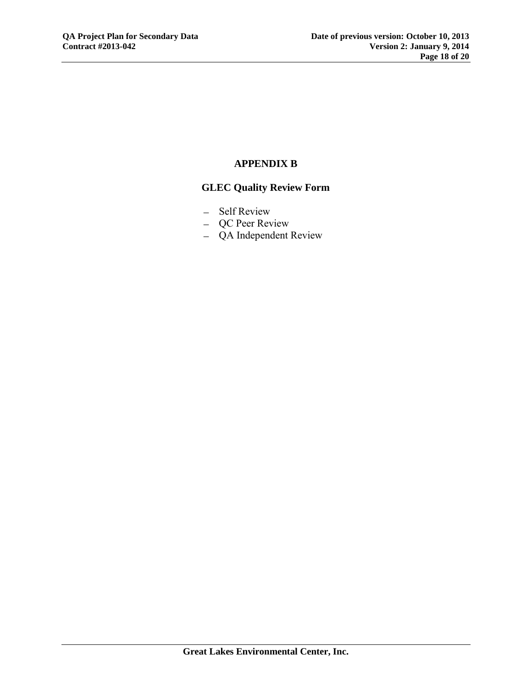# **APPENDIX B**

# **GLEC Quality Review Form**

- Self Review
- QC Peer Review
- QA Independent Review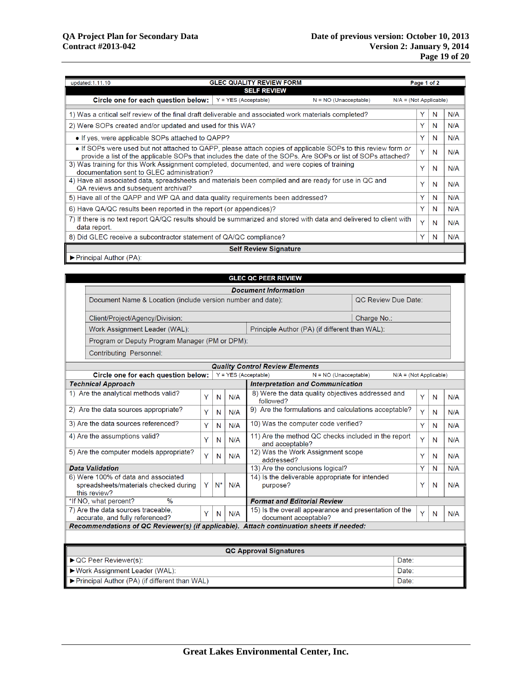| <b>GLEC QUALITY REVIEW FORM</b><br>updated:1.11.10<br>Page 1 of 2                                                                                                                                                            |  |  |   |   |     |  |  |  |  |  |  |
|------------------------------------------------------------------------------------------------------------------------------------------------------------------------------------------------------------------------------|--|--|---|---|-----|--|--|--|--|--|--|
| <b>SELF REVIEW</b>                                                                                                                                                                                                           |  |  |   |   |     |  |  |  |  |  |  |
| Circle one for each question below:<br>$Y = YES (Acceptable)$<br>$N = NO$ (Unacceptable)<br>$N/A = (Not Applicable)$                                                                                                         |  |  |   |   |     |  |  |  |  |  |  |
| 1) Was a critical self review of the final draft deliverable and associated work materials completed?                                                                                                                        |  |  | Y | N | N/A |  |  |  |  |  |  |
| 2) Were SOPs created and/or updated and used for this WA?                                                                                                                                                                    |  |  |   |   |     |  |  |  |  |  |  |
| • If yes, were applicable SOPs attached to QAPP?                                                                                                                                                                             |  |  |   |   |     |  |  |  |  |  |  |
| • If SOPs were used but not attached to QAPP, please attach copies of applicable SOPs to this review form or<br>provide a list of the applicable SOPs that includes the date of the SOPs. Are SOPs or list of SOPs attached? |  |  |   |   |     |  |  |  |  |  |  |
| 3) Was training for this Work Assignment completed, documented, and were copies of training<br>documentation sent to GLEC administration?                                                                                    |  |  |   |   |     |  |  |  |  |  |  |
| 4) Have all associated data, spreadsheets and materials been compiled and are ready for use in QC and<br>QA reviews and subsequent archival?                                                                                 |  |  |   |   |     |  |  |  |  |  |  |
| 5) Have all of the QAPP and WP QA and data quality requirements been addressed?                                                                                                                                              |  |  |   |   |     |  |  |  |  |  |  |
| 6) Have QA/QC results been reported in the report (or appendices)?                                                                                                                                                           |  |  | Y | N | N/A |  |  |  |  |  |  |
| 7) If there is no text report QA/QC results should be summarized and stored with data and delivered to client with<br>data report.                                                                                           |  |  |   |   |     |  |  |  |  |  |  |
| 8) Did GLEC receive a subcontractor statement of QA/QC compliance?                                                                                                                                                           |  |  |   |   |     |  |  |  |  |  |  |
| <b>Self Review Signature</b>                                                                                                                                                                                                 |  |  |   |   |     |  |  |  |  |  |  |
| $\blacktriangleright$ Principal Author (PA):                                                                                                                                                                                 |  |  |   |   |     |  |  |  |  |  |  |

| <b>GLEC QC PEER REVIEW</b>                                                                                  |                                                |       |     |                                                                               |   |   |     |  |  |  |
|-------------------------------------------------------------------------------------------------------------|------------------------------------------------|-------|-----|-------------------------------------------------------------------------------|---|---|-----|--|--|--|
| <b>Document Information</b>                                                                                 |                                                |       |     |                                                                               |   |   |     |  |  |  |
| Document Name & Location (include version number and date):<br>QC Review Due Date:                          |                                                |       |     |                                                                               |   |   |     |  |  |  |
| Client/Project/Agency/Division:                                                                             | Charge No.:                                    |       |     |                                                                               |   |   |     |  |  |  |
| Work Assignment Leader (WAL):                                                                               | Principle Author (PA) (if different than WAL): |       |     |                                                                               |   |   |     |  |  |  |
| Program or Deputy Program Manager (PM or DPM):                                                              |                                                |       |     |                                                                               |   |   |     |  |  |  |
| <b>Contributing Personnel:</b>                                                                              |                                                |       |     |                                                                               |   |   |     |  |  |  |
|                                                                                                             |                                                |       |     | <b>Quality Control Review Elements</b>                                        |   |   |     |  |  |  |
| Circle one for each question below:                                                                         |                                                |       |     | $Y = YES$ (Acceptable)<br>$N = NO$ (Unacceptable)<br>$N/A = (Not Applicable)$ |   |   |     |  |  |  |
| <b>Technical Approach</b>                                                                                   |                                                |       |     | <b>Interpretation and Communication</b>                                       |   |   |     |  |  |  |
| 1) Are the analytical methods valid?                                                                        | Y                                              | N     | N/A | 8) Were the data quality objectives addressed and<br>followed?                | Y | N | N/A |  |  |  |
| 2) Are the data sources appropriate?<br>Y<br>N                                                              |                                                |       |     | 9) Are the formulations and calculations acceptable?                          | Y | N | N/A |  |  |  |
| 3) Are the data sources referenced?<br>Ÿ<br>N/A<br>N                                                        |                                                |       |     | 10) Was the computer code verified?                                           | Y | N | N/A |  |  |  |
| 4) Are the assumptions valid?<br>Y<br>N/A<br>N                                                              |                                                |       |     | 11) Are the method QC checks included in the report<br>and acceptable?        |   |   | N/A |  |  |  |
| 12) Was the Work Assignment scope<br>5) Are the computer models appropriate?<br>Y<br>N/A<br>N<br>addressed? |                                                |       |     |                                                                               |   | N | N/A |  |  |  |
| <b>Data Validation</b>                                                                                      |                                                |       |     | 13) Are the conclusions logical?                                              | Y | N | N/A |  |  |  |
| 6) Were 100% of data and associated<br>spreadsheets/materials checked during<br>this review?                | Y                                              | $N^*$ | N/A | 14) Is the deliverable appropriate for intended<br>purpose?                   | Υ | N | N/A |  |  |  |
| $\frac{1}{2}$<br>*If NO, what percent?                                                                      |                                                |       |     | <b>Format and Editorial Review</b>                                            |   |   |     |  |  |  |
| 7) Are the data sources traceable.<br>accurate, and fully referenced?                                       | Y                                              | N     | N/A | 15) Is the overall appearance and presentation of the<br>document acceptable? | Y | N | N/A |  |  |  |
| Recommendations of QC Reviewer(s) (if applicable). Attach continuation sheets if needed:                    |                                                |       |     |                                                                               |   |   |     |  |  |  |
|                                                                                                             |                                                |       |     |                                                                               |   |   |     |  |  |  |
|                                                                                                             |                                                |       |     | <b>QC Approval Signatures</b>                                                 |   |   |     |  |  |  |
| ▶ QC Peer Reviewer(s):                                                                                      |                                                |       |     | Date:                                                                         |   |   |     |  |  |  |
| Work Assignment Leader (WAL):                                                                               | Date:                                          |       |     |                                                                               |   |   |     |  |  |  |
| Principal Author (PA) (if different than WAL)<br>Date:                                                      |                                                |       |     |                                                                               |   |   |     |  |  |  |